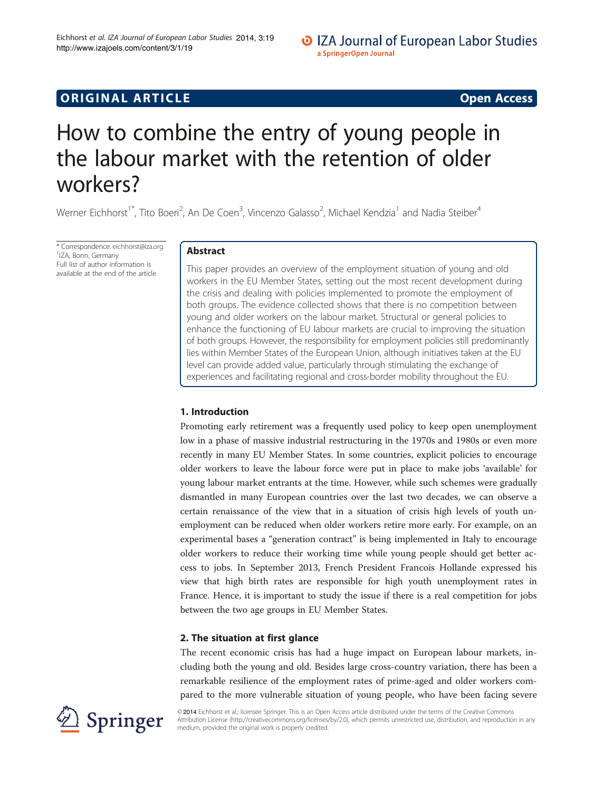## **ORIGINAL ARTICLE CONSERVANCE CONSERVANCE CONSERVANCE CONSERVANCE CONSERVANCE CONSERVANCE CONSERVANCE CONSERVANCE**

# How to combine the entry of young people in the labour market with the retention of older workers?

Werner Eichhorst<sup>1\*</sup>, Tito Boeri<sup>2</sup>, An De Coen<sup>3</sup>, Vincenzo Galasso<sup>2</sup>, Michael Kendzia<sup>1</sup> and Nadia Steiber<sup>4</sup>

\* Correspondence: [eichhorst@iza.org](mailto:eichhorst@iza.org) <sup>1</sup> <sup>1</sup>IZA, Bonn, Germany Full list of author information is available at the end of the article

#### Abstract

This paper provides an overview of the employment situation of young and old workers in the EU Member States, setting out the most recent development during the crisis and dealing with policies implemented to promote the employment of both groups. The evidence collected shows that there is no competition between young and older workers on the labour market. Structural or general policies to enhance the functioning of EU labour markets are crucial to improving the situation of both groups. However, the responsibility for employment policies still predominantly lies within Member States of the European Union, although initiatives taken at the EU level can provide added value, particularly through stimulating the exchange of experiences and facilitating regional and cross-border mobility throughout the EU.

#### 1. Introduction

Promoting early retirement was a frequently used policy to keep open unemployment low in a phase of massive industrial restructuring in the 1970s and 1980s or even more recently in many EU Member States. In some countries, explicit policies to encourage older workers to leave the labour force were put in place to make jobs 'available' for young labour market entrants at the time. However, while such schemes were gradually dismantled in many European countries over the last two decades, we can observe a certain renaissance of the view that in a situation of crisis high levels of youth unemployment can be reduced when older workers retire more early. For example, on an experimental bases a "generation contract" is being implemented in Italy to encourage older workers to reduce their working time while young people should get better access to jobs. In September 2013, French President Francois Hollande expressed his view that high birth rates are responsible for high youth unemployment rates in France. Hence, it is important to study the issue if there is a real competition for jobs between the two age groups in EU Member States.

#### 2. The situation at first glance

The recent economic crisis has had a huge impact on European labour markets, including both the young and old. Besides large cross-country variation, there has been a remarkable resilience of the employment rates of prime-aged and older workers compared to the more vulnerable situation of young people, who have been facing severe



© 2014 Eichhorst et al.; licensee Springer. This is an Open Access article distributed under the terms of the Creative Commons Attribution License [\(http://creativecommons.org/licenses/by/2.0\)](http://creativecommons.org/licenses/by/2.0), which permits unrestricted use, distribution, and reproduction in any medium, provided the original work is properly credited.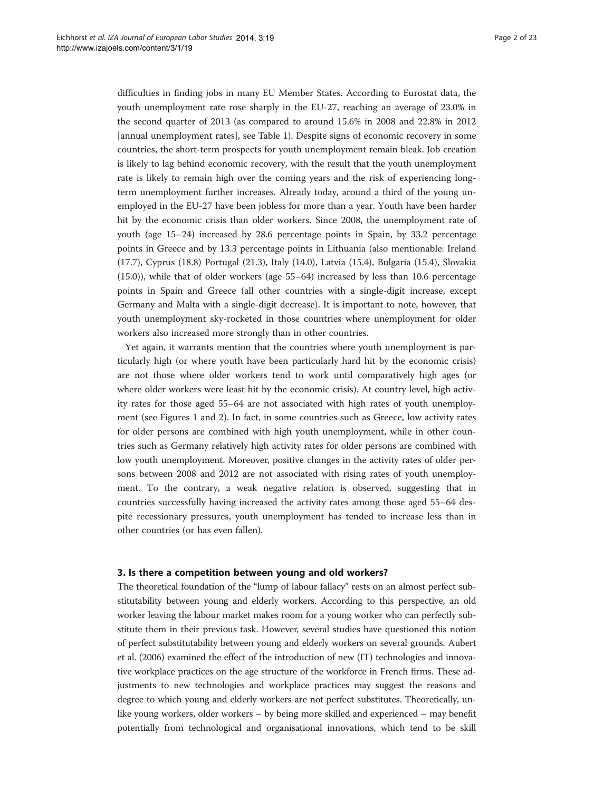difficulties in finding jobs in many EU Member States. According to Eurostat data, the youth unemployment rate rose sharply in the EU-27, reaching an average of 23.0% in the second quarter of 2013 (as compared to around 15.6% in 2008 and 22.8% in 2012 [annual unemployment rates], see Table [1\)](#page-2-0). Despite signs of economic recovery in some countries, the short-term prospects for youth unemployment remain bleak. Job creation is likely to lag behind economic recovery, with the result that the youth unemployment rate is likely to remain high over the coming years and the risk of experiencing longterm unemployment further increases. Already today, around a third of the young unemployed in the EU-27 have been jobless for more than a year. Youth have been harder hit by the economic crisis than older workers. Since 2008, the unemployment rate of youth (age 15–24) increased by 28.6 percentage points in Spain, by 33.2 percentage points in Greece and by 13.3 percentage points in Lithuania (also mentionable: Ireland (17.7), Cyprus (18.8) Portugal (21.3), Italy (14.0), Latvia (15.4), Bulgaria (15.4), Slovakia (15.0)), while that of older workers (age 55–64) increased by less than 10.6 percentage points in Spain and Greece (all other countries with a single-digit increase, except Germany and Malta with a single-digit decrease). It is important to note, however, that youth unemployment sky-rocketed in those countries where unemployment for older workers also increased more strongly than in other countries.

Yet again, it warrants mention that the countries where youth unemployment is particularly high (or where youth have been particularly hard hit by the economic crisis) are not those where older workers tend to work until comparatively high ages (or where older workers were least hit by the economic crisis). At country level, high activity rates for those aged 55–64 are not associated with high rates of youth unemployment (see Figures [1](#page-4-0) and [2](#page-4-0)). In fact, in some countries such as Greece, low activity rates for older persons are combined with high youth unemployment, while in other countries such as Germany relatively high activity rates for older persons are combined with low youth unemployment. Moreover, positive changes in the activity rates of older persons between 2008 and 2012 are not associated with rising rates of youth unemployment. To the contrary, a weak negative relation is observed, suggesting that in countries successfully having increased the activity rates among those aged 55–64 despite recessionary pressures, youth unemployment has tended to increase less than in other countries (or has even fallen).

#### 3. Is there a competition between young and old workers?

The theoretical foundation of the "lump of labour fallacy" rests on an almost perfect substitutability between young and elderly workers. According to this perspective, an old worker leaving the labour market makes room for a young worker who can perfectly substitute them in their previous task. However, several studies have questioned this notion of perfect substitutability between young and elderly workers on several grounds. Aubert et al. ([2006\)](#page-20-0) examined the effect of the introduction of new (IT) technologies and innovative workplace practices on the age structure of the workforce in French firms. These adjustments to new technologies and workplace practices may suggest the reasons and degree to which young and elderly workers are not perfect substitutes. Theoretically, unlike young workers, older workers – by being more skilled and experienced – may benefit potentially from technological and organisational innovations, which tend to be skill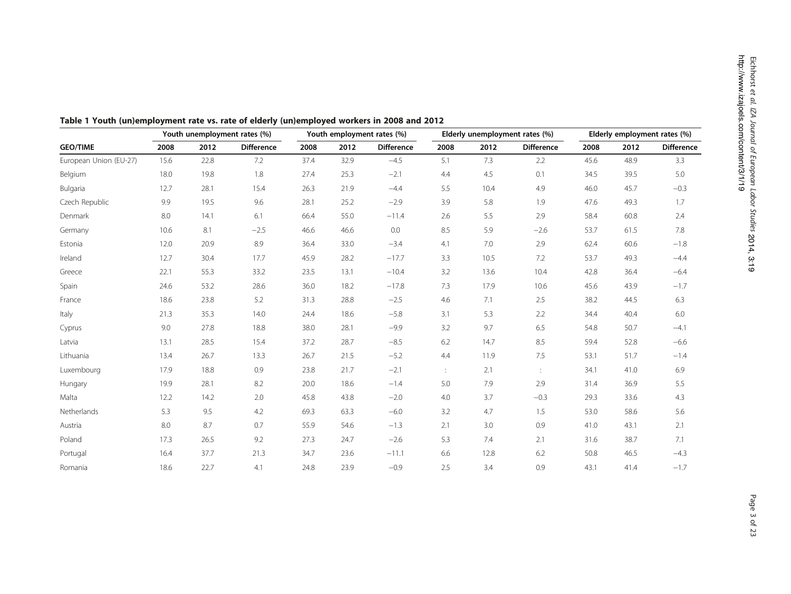| <b>GEO/TIME</b>        | Youth unemployment rates (%) |      |                   | Youth employment rates (%) |      |                   | Elderly unemployment rates (%) |      |                   | Elderly employment rates (%) |      |                   |
|------------------------|------------------------------|------|-------------------|----------------------------|------|-------------------|--------------------------------|------|-------------------|------------------------------|------|-------------------|
|                        | 2008                         | 2012 | <b>Difference</b> | 2008                       | 2012 | <b>Difference</b> | 2008                           | 2012 | <b>Difference</b> | 2008                         | 2012 | <b>Difference</b> |
| European Union (EU-27) | 15.6                         | 22.8 | 7.2               | 37.4                       | 32.9 | $-4.5$            | 5.1                            | 7.3  | 2.2               | 45.6                         | 48.9 | 3.3               |
| Belgium                | 18.0                         | 19.8 | 1.8               | 27.4                       | 25.3 | $-2.1$            | 4.4                            | 4.5  | 0.1               | 34.5                         | 39.5 | 5.0               |
| Bulgaria               | 12.7                         | 28.1 | 15.4              | 26.3                       | 21.9 | $-4.4$            | 5.5                            | 10.4 | 4.9               | 46.0                         | 45.7 | $-0.3$            |
| Czech Republic         | 9.9                          | 19.5 | 9.6               | 28.1                       | 25.2 | $-2.9$            | 3.9                            | 5.8  | 1.9               | 47.6                         | 49.3 | 1.7               |
| Denmark                | 8.0                          | 14.1 | 6.1               | 66.4                       | 55.0 | $-11.4$           | 2.6                            | 5.5  | 2.9               | 58.4                         | 60.8 | 2.4               |
| Germany                | 10.6                         | 8.1  | $-2.5$            | 46.6                       | 46.6 | 0.0               | 8.5                            | 5.9  | $-2.6$            | 53.7                         | 61.5 | 7.8               |
| Estonia                | 12.0                         | 20.9 | 8.9               | 36.4                       | 33.0 | $-3.4$            | 4.1                            | 7.0  | 2.9               | 62.4                         | 60.6 | $-1.8$            |
| Ireland                | 12.7                         | 30.4 | 17.7              | 45.9                       | 28.2 | $-17.7$           | 3.3                            | 10.5 | 7.2               | 53.7                         | 49.3 | $-4.4$            |
| Greece                 | 22.1                         | 55.3 | 33.2              | 23.5                       | 13.1 | $-10.4$           | 3.2                            | 13.6 | 10.4              | 42.8                         | 36.4 | $-6.4$            |
| Spain                  | 24.6                         | 53.2 | 28.6              | 36.0                       | 18.2 | $-17.8$           | 7.3                            | 17.9 | 10.6              | 45.6                         | 43.9 | $-1.7$            |
| France                 | 18.6                         | 23.8 | 5.2               | 31.3                       | 28.8 | $-2.5$            | 4.6                            | 7.1  | 2.5               | 38.2                         | 44.5 | 6.3               |
| Italy                  | 21.3                         | 35.3 | 14.0              | 24.4                       | 18.6 | $-5.8$            | 3.1                            | 5.3  | 2.2               | 34.4                         | 40.4 | 6.0               |
| Cyprus                 | 9.0                          | 27.8 | 18.8              | 38.0                       | 28.1 | $-9.9$            | 3.2                            | 9.7  | 6.5               | 54.8                         | 50.7 | $-4.1$            |
| Latvia                 | 13.1                         | 28.5 | 15.4              | 37.2                       | 28.7 | $-8.5$            | 6.2                            | 14.7 | 8.5               | 59.4                         | 52.8 | $-6.6$            |
| Lithuania              | 13.4                         | 26.7 | 13.3              | 26.7                       | 21.5 | $-5.2$            | 4.4                            | 11.9 | 7.5               | 53.1                         | 51.7 | $-1.4$            |
| Luxembourg             | 17.9                         | 18.8 | 0.9               | 23.8                       | 21.7 | $-2.1$            | ÷                              | 2.1  | ÷                 | 34.1                         | 41.0 | 6.9               |
| Hungary                | 19.9                         | 28.1 | 8.2               | 20.0                       | 18.6 | $-1.4$            | 5.0                            | 7.9  | 2.9               | 31.4                         | 36.9 | 5.5               |
| Malta                  | 12.2                         | 14.2 | 2.0               | 45.8                       | 43.8 | $-2.0$            | 4.0                            | 3.7  | $-0.3$            | 29.3                         | 33.6 | 4.3               |
| Netherlands            | 5.3                          | 9.5  | 4.2               | 69.3                       | 63.3 | $-6.0$            | 3.2                            | 4.7  | 1.5               | 53.0                         | 58.6 | 5.6               |
| Austria                | 8.0                          | 8.7  | 0.7               | 55.9                       | 54.6 | $-1.3$            | 2.1                            | 3.0  | 0.9               | 41.0                         | 43.1 | 2.1               |
| Poland                 | 17.3                         | 26.5 | 9.2               | 27.3                       | 24.7 | $-2.6$            | 5.3                            | 7.4  | 2.1               | 31.6                         | 38.7 | 7.1               |
| Portugal               | 16.4                         | 37.7 | 21.3              | 34.7                       | 23.6 | $-11.1$           | 6.6                            | 12.8 | 6.2               | 50.8                         | 46.5 | $-4.3$            |
| Romania                | 18.6                         | 22.7 | 4.1               | 24.8                       | 23.9 | $-0.9$            | 2.5                            | 3.4  | 0.9               | 43.1                         | 41.4 | $-1.7$            |

<span id="page-2-0"></span>Table 1 Youth (un)employment rate vs. rate of elderly (un)employed workers in 2008 and 2012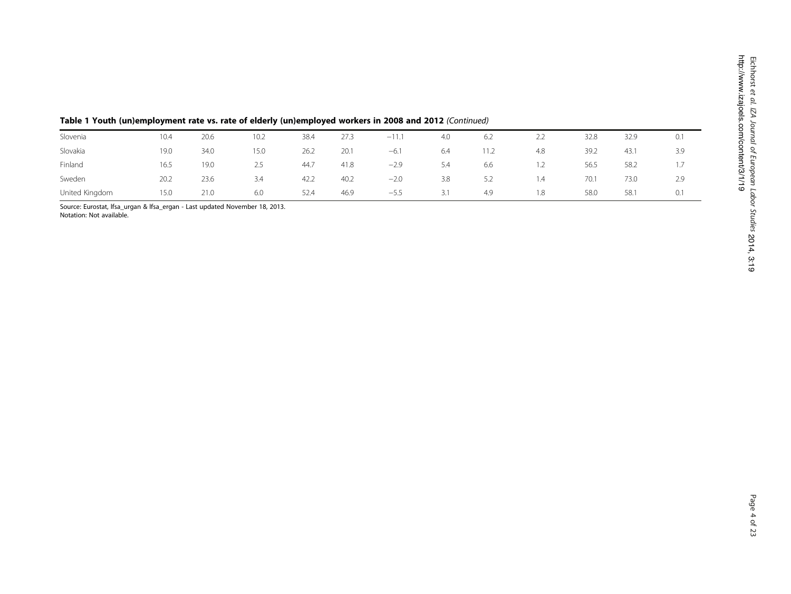|--|

| Slovenia       | 10.4 | 20.6 | 10.2        | 38.4 | 27.3 | $-1$<br>1 L L | 4.0   | 6.2  | $\sim$                   | 32.8 | 32.9 | 0.1     |
|----------------|------|------|-------------|------|------|---------------|-------|------|--------------------------|------|------|---------|
| Slovakia       | 19.0 | 34.0 | 15.0        | 26.2 | 20.1 | $-6.1$        | 6.4   | 11.2 | 4.8                      | 39.2 | 43.1 | 3.9     |
| Finland        | 16.5 | 19.0 | つち<br>ر . ے | 44.7 | 41.8 | $-2.9$        | 5.4   | 6.6  | I.Z                      | 56.5 | 58.2 | $\cdot$ |
| Sweden         | 20.2 | 23.6 | 3.4         | 42.2 | 40.2 | $-2.0$        | 3.8   | 5.2  | $\mathsf{I} \mathcal{A}$ | 70.1 | 73.0 | 2.9     |
| United Kingdom | 15.0 | 21.0 | 6.0         | 52.4 | 46.9 | $-5.5$        | ا د پ | 4.9  | 1.8                      | 58.0 | 58.1 | 0.1     |

Source: Eurostat, lfsa\_urgan & lfsa\_ergan - Last updated November 18, 2013.

Notation: Not available.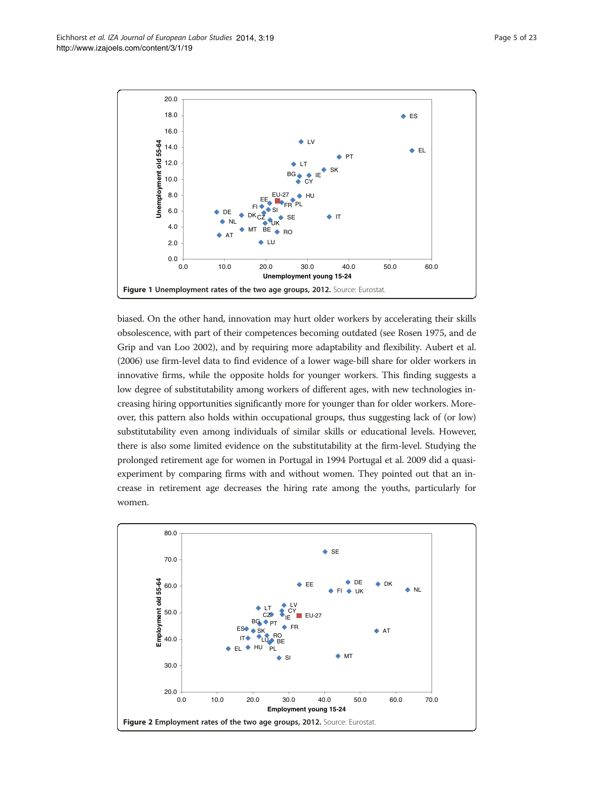biased. On the other hand, innovation may hurt older workers by accelerating their skills obsolescence, with part of their competences becoming outdated (see Rosen [1975,](#page-21-0) and de Grip and van Loo [2002](#page-20-0)), and by requiring more adaptability and flexibility. Aubert et al. ([2006\)](#page-20-0) use firm-level data to find evidence of a lower wage-bill share for older workers in innovative firms, while the opposite holds for younger workers. This finding suggests a low degree of substitutability among workers of different ages, with new technologies increasing hiring opportunities significantly more for younger than for older workers. Moreover, this pattern also holds within occupational groups, thus suggesting lack of (or low) substitutability even among individuals of similar skills or educational levels. However, there is also some limited evidence on the substitutability at the firm-level. Studying the prolonged retirement age for women in Portugal in 1994 Portugal et al. [2009](#page-21-0) did a quasiexperiment by comparing firms with and without women. They pointed out that an increase in retirement age decreases the hiring rate among the youths, particularly for women.

BE

LU

SI

EE

 $DE \rightarrow DK_{CZ}$ 

NL AT

MT

Figure 1 Unemployment rates of the two age groups, 2012. Source: Eurostat.

FI

BG

FR

RO

UK<sup>SE</sup>

EU-27

PL

IE

CY

HU

0.0 10.0 20.0 30.0 40.0 50.0 60.0

**Unemployment young 15-24**

LT

LV

IT

 $\triangle$ 

SK

**DT** 

 $\triangle$ FL

 $\triangle$  ES



<span id="page-4-0"></span>

 $0.0 + 0.0$ 

2.0 4.0 6.0 8.0 10.0 12.0 14.0 16.0 18.0 20.0

**Unemployment old 55-64**

Unemployment

old 55-64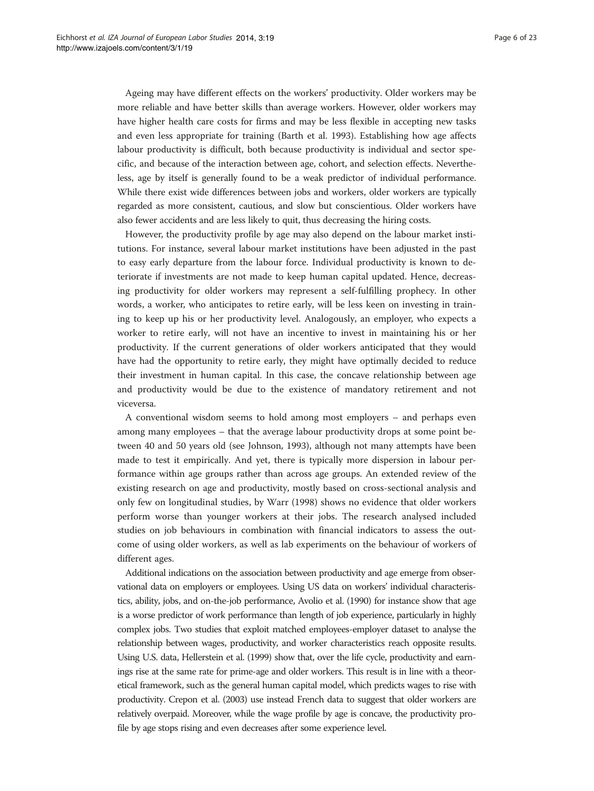Ageing may have different effects on the workers' productivity. Older workers may be more reliable and have better skills than average workers. However, older workers may have higher health care costs for firms and may be less flexible in accepting new tasks and even less appropriate for training (Barth et al. [1993\)](#page-20-0). Establishing how age affects labour productivity is difficult, both because productivity is individual and sector specific, and because of the interaction between age, cohort, and selection effects. Nevertheless, age by itself is generally found to be a weak predictor of individual performance. While there exist wide differences between jobs and workers, older workers are typically regarded as more consistent, cautious, and slow but conscientious. Older workers have also fewer accidents and are less likely to quit, thus decreasing the hiring costs.

However, the productivity profile by age may also depend on the labour market institutions. For instance, several labour market institutions have been adjusted in the past to easy early departure from the labour force. Individual productivity is known to deteriorate if investments are not made to keep human capital updated. Hence, decreasing productivity for older workers may represent a self-fulfilling prophecy. In other words, a worker, who anticipates to retire early, will be less keen on investing in training to keep up his or her productivity level. Analogously, an employer, who expects a worker to retire early, will not have an incentive to invest in maintaining his or her productivity. If the current generations of older workers anticipated that they would have had the opportunity to retire early, they might have optimally decided to reduce their investment in human capital. In this case, the concave relationship between age and productivity would be due to the existence of mandatory retirement and not viceversa.

A conventional wisdom seems to hold among most employers – and perhaps even among many employees – that the average labour productivity drops at some point between 40 and 50 years old (see Johnson, [1993](#page-21-0)), although not many attempts have been made to test it empirically. And yet, there is typically more dispersion in labour performance within age groups rather than across age groups. An extended review of the existing research on age and productivity, mostly based on cross-sectional analysis and only few on longitudinal studies, by Warr ([1998](#page-22-0)) shows no evidence that older workers perform worse than younger workers at their jobs. The research analysed included studies on job behaviours in combination with financial indicators to assess the outcome of using older workers, as well as lab experiments on the behaviour of workers of different ages.

Additional indications on the association between productivity and age emerge from observational data on employers or employees. Using US data on workers' individual characteristics, ability, jobs, and on-the-job performance, Avolio et al. [\(1990](#page-20-0)) for instance show that age is a worse predictor of work performance than length of job experience, particularly in highly complex jobs. Two studies that exploit matched employees-employer dataset to analyse the relationship between wages, productivity, and worker characteristics reach opposite results. Using U.S. data, Hellerstein et al. [\(1999\)](#page-21-0) show that, over the life cycle, productivity and earnings rise at the same rate for prime-age and older workers. This result is in line with a theoretical framework, such as the general human capital model, which predicts wages to rise with productivity. Crepon et al. (2003) use instead French data to suggest that older workers are relatively overpaid. Moreover, while the wage profile by age is concave, the productivity profile by age stops rising and even decreases after some experience level.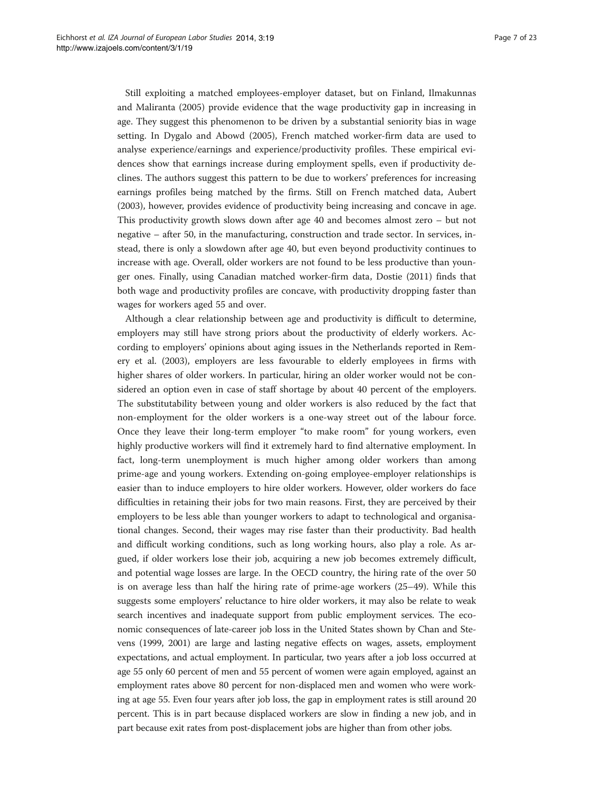Still exploiting a matched employees-employer dataset, but on Finland, Ilmakunnas and Maliranta ([2005](#page-21-0)) provide evidence that the wage productivity gap in increasing in age. They suggest this phenomenon to be driven by a substantial seniority bias in wage setting. In Dygalo and Abowd [\(2005\)](#page-20-0), French matched worker-firm data are used to analyse experience/earnings and experience/productivity profiles. These empirical evidences show that earnings increase during employment spells, even if productivity declines. The authors suggest this pattern to be due to workers' preferences for increasing earnings profiles being matched by the firms. Still on French matched data, Aubert ([2003](#page-20-0)), however, provides evidence of productivity being increasing and concave in age. This productivity growth slows down after age 40 and becomes almost zero – but not negative – after 50, in the manufacturing, construction and trade sector. In services, instead, there is only a slowdown after age 40, but even beyond productivity continues to increase with age. Overall, older workers are not found to be less productive than younger ones. Finally, using Canadian matched worker-firm data, Dostie ([2011](#page-20-0)) finds that both wage and productivity profiles are concave, with productivity dropping faster than wages for workers aged 55 and over.

Although a clear relationship between age and productivity is difficult to determine, employers may still have strong priors about the productivity of elderly workers. According to employers' opinions about aging issues in the Netherlands reported in Remery et al. [\(2003](#page-21-0)), employers are less favourable to elderly employees in firms with higher shares of older workers. In particular, hiring an older worker would not be considered an option even in case of staff shortage by about 40 percent of the employers. The substitutability between young and older workers is also reduced by the fact that non-employment for the older workers is a one-way street out of the labour force. Once they leave their long-term employer "to make room" for young workers, even highly productive workers will find it extremely hard to find alternative employment. In fact, long-term unemployment is much higher among older workers than among prime-age and young workers. Extending on-going employee-employer relationships is easier than to induce employers to hire older workers. However, older workers do face difficulties in retaining their jobs for two main reasons. First, they are perceived by their employers to be less able than younger workers to adapt to technological and organisational changes. Second, their wages may rise faster than their productivity. Bad health and difficult working conditions, such as long working hours, also play a role. As argued, if older workers lose their job, acquiring a new job becomes extremely difficult, and potential wage losses are large. In the OECD country, the hiring rate of the over 50 is on average less than half the hiring rate of prime-age workers (25–49). While this suggests some employers' reluctance to hire older workers, it may also be relate to weak search incentives and inadequate support from public employment services. The economic consequences of late-career job loss in the United States shown by Chan and Stevens ([1999](#page-20-0), [2001\)](#page-20-0) are large and lasting negative effects on wages, assets, employment expectations, and actual employment. In particular, two years after a job loss occurred at age 55 only 60 percent of men and 55 percent of women were again employed, against an employment rates above 80 percent for non-displaced men and women who were working at age 55. Even four years after job loss, the gap in employment rates is still around 20 percent. This is in part because displaced workers are slow in finding a new job, and in part because exit rates from post-displacement jobs are higher than from other jobs.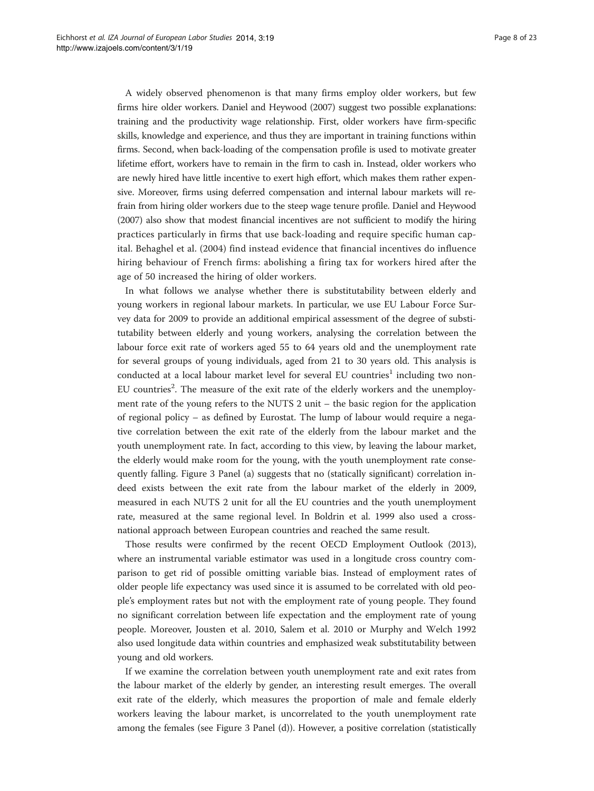A widely observed phenomenon is that many firms employ older workers, but few firms hire older workers. Daniel and Heywood [\(2007](#page-20-0)) suggest two possible explanations: training and the productivity wage relationship. First, older workers have firm-specific skills, knowledge and experience, and thus they are important in training functions within firms. Second, when back-loading of the compensation profile is used to motivate greater lifetime effort, workers have to remain in the firm to cash in. Instead, older workers who are newly hired have little incentive to exert high effort, which makes them rather expensive. Moreover, firms using deferred compensation and internal labour markets will refrain from hiring older workers due to the steep wage tenure profile. Daniel and Heywood ([2007\)](#page-20-0) also show that modest financial incentives are not sufficient to modify the hiring practices particularly in firms that use back-loading and require specific human capital. Behaghel et al. ([2004\)](#page-20-0) find instead evidence that financial incentives do influence hiring behaviour of French firms: abolishing a firing tax for workers hired after the age of 50 increased the hiring of older workers.

In what follows we analyse whether there is substitutability between elderly and young workers in regional labour markets. In particular, we use EU Labour Force Survey data for 2009 to provide an additional empirical assessment of the degree of substitutability between elderly and young workers, analysing the correlation between the labour force exit rate of workers aged 55 to 64 years old and the unemployment rate for several groups of young individuals, aged from 21 to 30 years old. This analysis is conducted at a local labour market level for several EU countries<sup>1</sup> including two non-EU countries<sup>2</sup>. The measure of the exit rate of the elderly workers and the unemployment rate of the young refers to the NUTS 2 unit – the basic region for the application of regional policy – as defined by Eurostat. The lump of labour would require a negative correlation between the exit rate of the elderly from the labour market and the youth unemployment rate. In fact, according to this view, by leaving the labour market, the elderly would make room for the young, with the youth unemployment rate consequently falling. Figure [3](#page-8-0) Panel (a) suggests that no (statically significant) correlation indeed exists between the exit rate from the labour market of the elderly in 2009, measured in each NUTS 2 unit for all the EU countries and the youth unemployment rate, measured at the same regional level. In Boldrin et al. [1999](#page-20-0) also used a crossnational approach between European countries and reached the same result.

Those results were confirmed by the recent OECD Employment Outlook ([2013](#page-21-0)), where an instrumental variable estimator was used in a longitude cross country comparison to get rid of possible omitting variable bias. Instead of employment rates of older people life expectancy was used since it is assumed to be correlated with old people's employment rates but not with the employment rate of young people. They found no significant correlation between life expectation and the employment rate of young people. Moreover, Jousten et al. [2010,](#page-21-0) Salem et al. [2010](#page-21-0) or Murphy and Welch [1992](#page-21-0) also used longitude data within countries and emphasized weak substitutability between young and old workers.

If we examine the correlation between youth unemployment rate and exit rates from the labour market of the elderly by gender, an interesting result emerges. The overall exit rate of the elderly, which measures the proportion of male and female elderly workers leaving the labour market, is uncorrelated to the youth unemployment rate among the females (see Figure [3](#page-8-0) Panel (d)). However, a positive correlation (statistically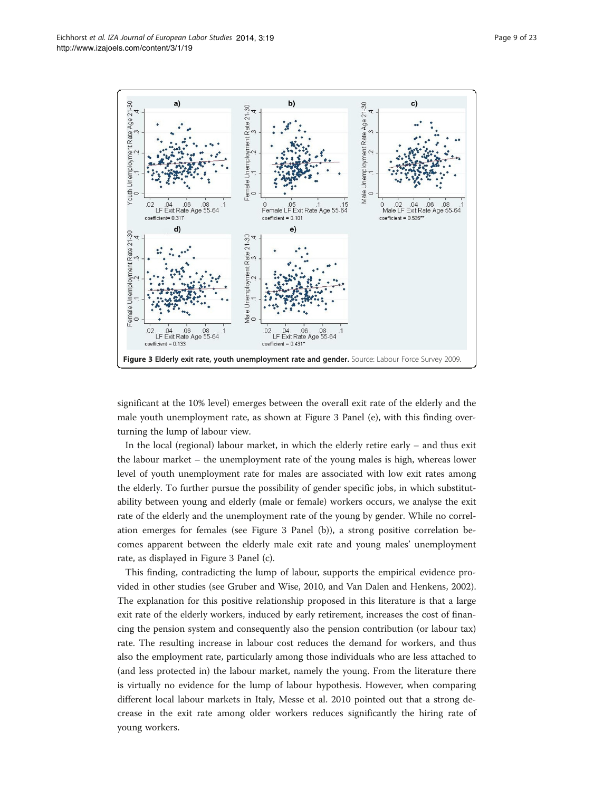turning the lump of labour view.

In the local (regional) labour market, in which the elderly retire early – and thus exit the labour market – the unemployment rate of the young males is high, whereas lower level of youth unemployment rate for males are associated with low exit rates among the elderly. To further pursue the possibility of gender specific jobs, in which substitutability between young and elderly (male or female) workers occurs, we analyse the exit rate of the elderly and the unemployment rate of the young by gender. While no correlation emerges for females (see Figure 3 Panel (b)), a strong positive correlation becomes apparent between the elderly male exit rate and young males' unemployment rate, as displayed in Figure 3 Panel (c).

This finding, contradicting the lump of labour, supports the empirical evidence provided in other studies (see Gruber and Wise, [2010](#page-21-0), and Van Dalen and Henkens, [2002](#page-22-0)). The explanation for this positive relationship proposed in this literature is that a large exit rate of the elderly workers, induced by early retirement, increases the cost of financing the pension system and consequently also the pension contribution (or labour tax) rate. The resulting increase in labour cost reduces the demand for workers, and thus also the employment rate, particularly among those individuals who are less attached to (and less protected in) the labour market, namely the young. From the literature there is virtually no evidence for the lump of labour hypothesis. However, when comparing different local labour markets in Italy, Messe et al. [2010](#page-21-0) pointed out that a strong decrease in the exit rate among older workers reduces significantly the hiring rate of young workers.

significant at the 10% level) emerges between the overall exit rate of the elderly and the male youth unemployment rate, as shown at Figure 3 Panel (e), with this finding over-

<span id="page-8-0"></span>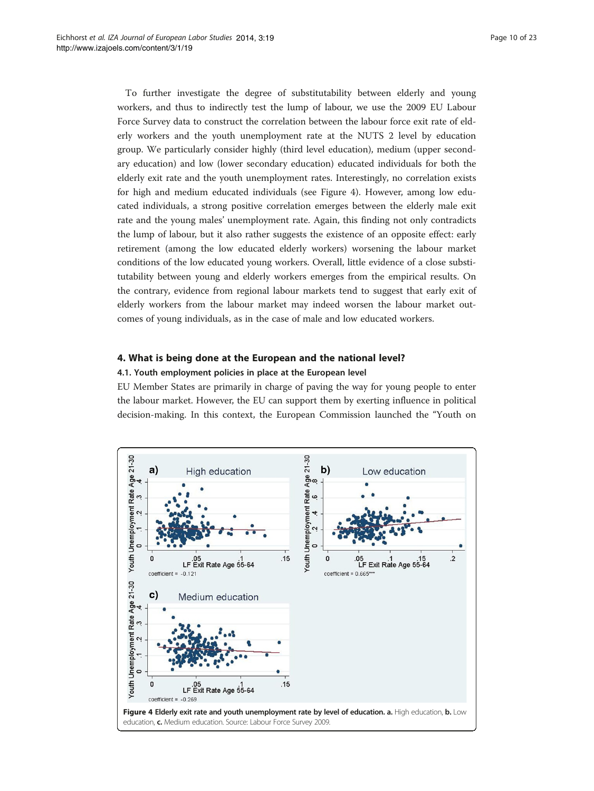To further investigate the degree of substitutability between elderly and young workers, and thus to indirectly test the lump of labour, we use the 2009 EU Labour Force Survey data to construct the correlation between the labour force exit rate of elderly workers and the youth unemployment rate at the NUTS 2 level by education group. We particularly consider highly (third level education), medium (upper secondary education) and low (lower secondary education) educated individuals for both the elderly exit rate and the youth unemployment rates. Interestingly, no correlation exists for high and medium educated individuals (see Figure 4). However, among low educated individuals, a strong positive correlation emerges between the elderly male exit rate and the young males' unemployment rate. Again, this finding not only contradicts the lump of labour, but it also rather suggests the existence of an opposite effect: early retirement (among the low educated elderly workers) worsening the labour market conditions of the low educated young workers. Overall, little evidence of a close substitutability between young and elderly workers emerges from the empirical results. On the contrary, evidence from regional labour markets tend to suggest that early exit of elderly workers from the labour market may indeed worsen the labour market outcomes of young individuals, as in the case of male and low educated workers.

#### 4. What is being done at the European and the national level?

#### 4.1. Youth employment policies in place at the European level

EU Member States are primarily in charge of paving the way for young people to enter the labour market. However, the EU can support them by exerting influence in political decision-making. In this context, the European Commission launched the "Youth on

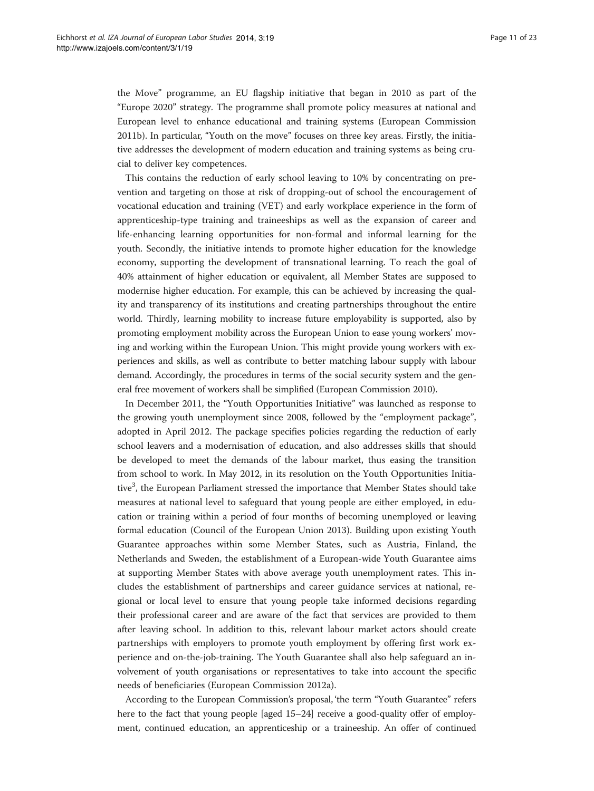the Move" programme, an EU flagship initiative that began in 2010 as part of the "Europe 2020" strategy. The programme shall promote policy measures at national and European level to enhance educational and training systems (European Commission [2011b](#page-21-0)). In particular, "Youth on the move" focuses on three key areas. Firstly, the initiative addresses the development of modern education and training systems as being crucial to deliver key competences.

This contains the reduction of early school leaving to 10% by concentrating on prevention and targeting on those at risk of dropping-out of school the encouragement of vocational education and training (VET) and early workplace experience in the form of apprenticeship-type training and traineeships as well as the expansion of career and life-enhancing learning opportunities for non-formal and informal learning for the youth. Secondly, the initiative intends to promote higher education for the knowledge economy, supporting the development of transnational learning. To reach the goal of 40% attainment of higher education or equivalent, all Member States are supposed to modernise higher education. For example, this can be achieved by increasing the quality and transparency of its institutions and creating partnerships throughout the entire world. Thirdly, learning mobility to increase future employability is supported, also by promoting employment mobility across the European Union to ease young workers' moving and working within the European Union. This might provide young workers with experiences and skills, as well as contribute to better matching labour supply with labour demand. Accordingly, the procedures in terms of the social security system and the general free movement of workers shall be simplified (European Commission [2010\)](#page-21-0).

In December 2011, the "Youth Opportunities Initiative" was launched as response to the growing youth unemployment since 2008, followed by the "employment package", adopted in April 2012. The package specifies policies regarding the reduction of early school leavers and a modernisation of education, and also addresses skills that should be developed to meet the demands of the labour market, thus easing the transition from school to work. In May 2012, in its resolution on the Youth Opportunities Initiative<sup>3</sup>, the European Parliament stressed the importance that Member States should take measures at national level to safeguard that young people are either employed, in education or training within a period of four months of becoming unemployed or leaving formal education (Council of the European Union [2013\)](#page-20-0). Building upon existing Youth Guarantee approaches within some Member States, such as Austria, Finland, the Netherlands and Sweden, the establishment of a European-wide Youth Guarantee aims at supporting Member States with above average youth unemployment rates. This includes the establishment of partnerships and career guidance services at national, regional or local level to ensure that young people take informed decisions regarding their professional career and are aware of the fact that services are provided to them after leaving school. In addition to this, relevant labour market actors should create partnerships with employers to promote youth employment by offering first work experience and on-the-job-training. The Youth Guarantee shall also help safeguard an involvement of youth organisations or representatives to take into account the specific needs of beneficiaries (European Commission [2012a\)](#page-21-0).

According to the European Commission's proposal, 'the term "Youth Guarantee" refers here to the fact that young people [aged 15–24] receive a good-quality offer of employment, continued education, an apprenticeship or a traineeship. An offer of continued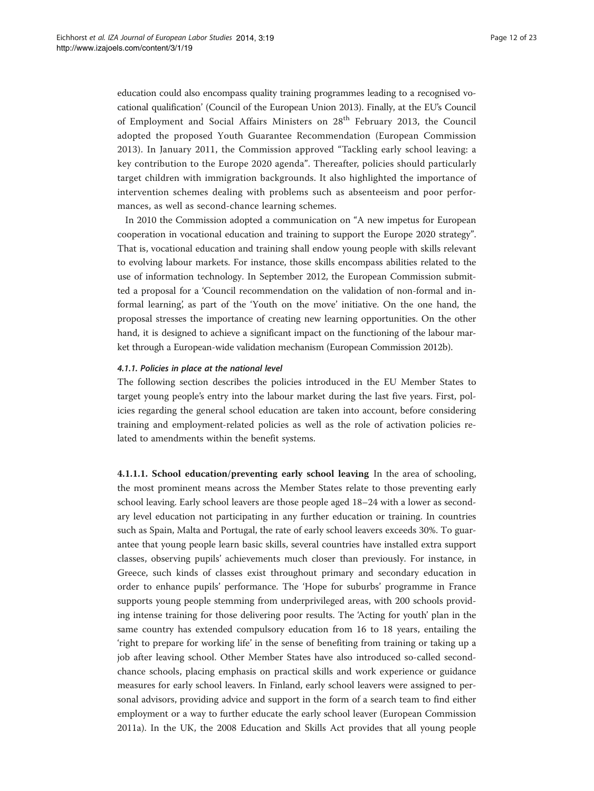education could also encompass quality training programmes leading to a recognised vocational qualification' (Council of the European Union [2013\)](#page-20-0). Finally, at the EU's Council of Employment and Social Affairs Ministers on 28<sup>th</sup> February 2013, the Council adopted the proposed Youth Guarantee Recommendation (European Commission [2013\)](#page-20-0). In January 2011, the Commission approved "Tackling early school leaving: a key contribution to the Europe 2020 agenda". Thereafter, policies should particularly target children with immigration backgrounds. It also highlighted the importance of intervention schemes dealing with problems such as absenteeism and poor performances, as well as second-chance learning schemes.

In 2010 the Commission adopted a communication on "A new impetus for European cooperation in vocational education and training to support the Europe 2020 strategy". That is, vocational education and training shall endow young people with skills relevant to evolving labour markets. For instance, those skills encompass abilities related to the use of information technology. In September 2012, the European Commission submitted a proposal for a 'Council recommendation on the validation of non-formal and informal learning', as part of the 'Youth on the move' initiative. On the one hand, the proposal stresses the importance of creating new learning opportunities. On the other hand, it is designed to achieve a significant impact on the functioning of the labour market through a European-wide validation mechanism (European Commission [2012b](#page-21-0)).

#### 4.1.1. Policies in place at the national level

The following section describes the policies introduced in the EU Member States to target young people's entry into the labour market during the last five years. First, policies regarding the general school education are taken into account, before considering training and employment-related policies as well as the role of activation policies related to amendments within the benefit systems.

4.1.1.1. School education/preventing early school leaving In the area of schooling, the most prominent means across the Member States relate to those preventing early school leaving. Early school leavers are those people aged 18–24 with a lower as secondary level education not participating in any further education or training. In countries such as Spain, Malta and Portugal, the rate of early school leavers exceeds 30%. To guarantee that young people learn basic skills, several countries have installed extra support classes, observing pupils' achievements much closer than previously. For instance, in Greece, such kinds of classes exist throughout primary and secondary education in order to enhance pupils' performance. The 'Hope for suburbs' programme in France supports young people stemming from underprivileged areas, with 200 schools providing intense training for those delivering poor results. The 'Acting for youth' plan in the same country has extended compulsory education from 16 to 18 years, entailing the 'right to prepare for working life' in the sense of benefiting from training or taking up a job after leaving school. Other Member States have also introduced so-called secondchance schools, placing emphasis on practical skills and work experience or guidance measures for early school leavers. In Finland, early school leavers were assigned to personal advisors, providing advice and support in the form of a search team to find either employment or a way to further educate the early school leaver (European Commission [2011a\)](#page-21-0). In the UK, the 2008 Education and Skills Act provides that all young people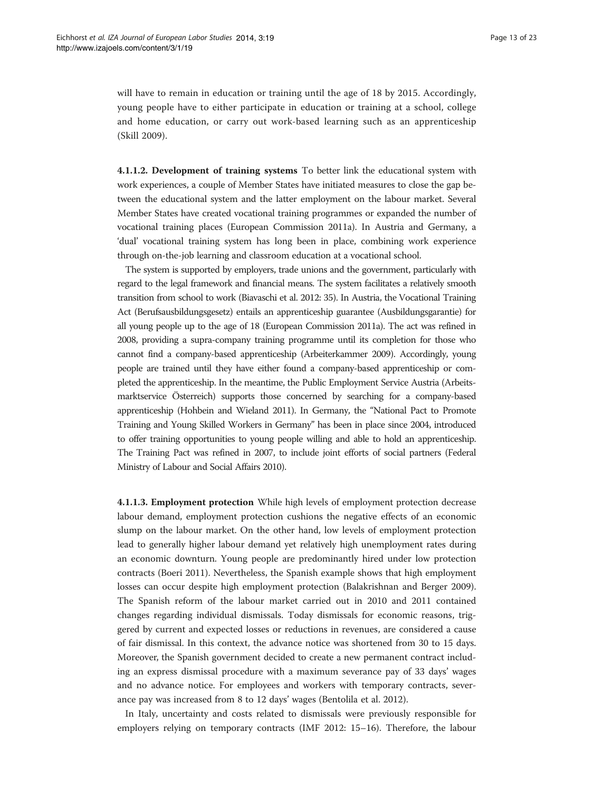will have to remain in education or training until the age of 18 by 2015. Accordingly, young people have to either participate in education or training at a school, college and home education, or carry out work-based learning such as an apprenticeship (Skill [2009](#page-22-0)).

4.1.1.2. Development of training systems To better link the educational system with work experiences, a couple of Member States have initiated measures to close the gap between the educational system and the latter employment on the labour market. Several Member States have created vocational training programmes or expanded the number of vocational training places (European Commission [2011a\)](#page-21-0). In Austria and Germany, a 'dual' vocational training system has long been in place, combining work experience through on-the-job learning and classroom education at a vocational school.

The system is supported by employers, trade unions and the government, particularly with regard to the legal framework and financial means. The system facilitates a relatively smooth transition from school to work (Biavaschi et al. [2012](#page-20-0): 35). In Austria, the Vocational Training Act (Berufsausbildungsgesetz) entails an apprenticeship guarantee (Ausbildungsgarantie) for all young people up to the age of 18 (European Commission [2011a](#page-21-0)). The act was refined in 2008, providing a supra-company training programme until its completion for those who cannot find a company-based apprenticeship (Arbeiterkammer [2009\)](#page-20-0). Accordingly, young people are trained until they have either found a company-based apprenticeship or completed the apprenticeship. In the meantime, the Public Employment Service Austria (Arbeitsmarktservice Österreich) supports those concerned by searching for a company-based apprenticeship (Hohbein and Wieland [2011](#page-21-0)). In Germany, the "National Pact to Promote Training and Young Skilled Workers in Germany" has been in place since 2004, introduced to offer training opportunities to young people willing and able to hold an apprenticeship. The Training Pact was refined in 2007, to include joint efforts of social partners (Federal Ministry of Labour and Social Affairs [2010](#page-21-0)).

4.1.1.3. Employment protection While high levels of employment protection decrease labour demand, employment protection cushions the negative effects of an economic slump on the labour market. On the other hand, low levels of employment protection lead to generally higher labour demand yet relatively high unemployment rates during an economic downturn. Young people are predominantly hired under low protection contracts (Boeri [2011\)](#page-20-0). Nevertheless, the Spanish example shows that high employment losses can occur despite high employment protection (Balakrishnan and Berger [2009](#page-20-0)). The Spanish reform of the labour market carried out in 2010 and 2011 contained changes regarding individual dismissals. Today dismissals for economic reasons, triggered by current and expected losses or reductions in revenues, are considered a cause of fair dismissal. In this context, the advance notice was shortened from 30 to 15 days. Moreover, the Spanish government decided to create a new permanent contract including an express dismissal procedure with a maximum severance pay of 33 days' wages and no advance notice. For employees and workers with temporary contracts, severance pay was increased from 8 to 12 days' wages (Bentolila et al. [2012](#page-20-0)).

In Italy, uncertainty and costs related to dismissals were previously responsible for employers relying on temporary contracts (IMF [2012:](#page-21-0) 15–16). Therefore, the labour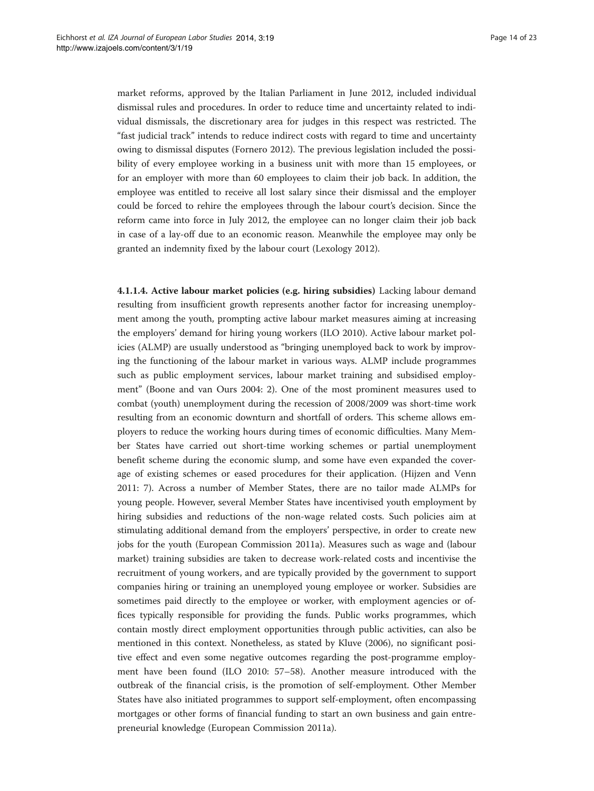market reforms, approved by the Italian Parliament in June 2012, included individual dismissal rules and procedures. In order to reduce time and uncertainty related to individual dismissals, the discretionary area for judges in this respect was restricted. The "fast judicial track" intends to reduce indirect costs with regard to time and uncertainty owing to dismissal disputes (Fornero [2012\)](#page-21-0). The previous legislation included the possibility of every employee working in a business unit with more than 15 employees, or for an employer with more than 60 employees to claim their job back. In addition, the employee was entitled to receive all lost salary since their dismissal and the employer could be forced to rehire the employees through the labour court's decision. Since the reform came into force in July 2012, the employee can no longer claim their job back in case of a lay-off due to an economic reason. Meanwhile the employee may only be granted an indemnity fixed by the labour court (Lexology [2012\)](#page-21-0).

4.1.1.4. Active labour market policies (e.g. hiring subsidies) Lacking labour demand resulting from insufficient growth represents another factor for increasing unemployment among the youth, prompting active labour market measures aiming at increasing the employers' demand for hiring young workers (ILO [2010](#page-21-0)). Active labour market policies (ALMP) are usually understood as "bringing unemployed back to work by improving the functioning of the labour market in various ways. ALMP include programmes such as public employment services, labour market training and subsidised employment" (Boone and van Ours [2004](#page-20-0): 2). One of the most prominent measures used to combat (youth) unemployment during the recession of 2008/2009 was short-time work resulting from an economic downturn and shortfall of orders. This scheme allows employers to reduce the working hours during times of economic difficulties. Many Member States have carried out short-time working schemes or partial unemployment benefit scheme during the economic slump, and some have even expanded the coverage of existing schemes or eased procedures for their application. (Hijzen and Venn [2011](#page-21-0): 7). Across a number of Member States, there are no tailor made ALMPs for young people. However, several Member States have incentivised youth employment by hiring subsidies and reductions of the non-wage related costs. Such policies aim at stimulating additional demand from the employers' perspective, in order to create new jobs for the youth (European Commission [2011a\)](#page-21-0). Measures such as wage and (labour market) training subsidies are taken to decrease work-related costs and incentivise the recruitment of young workers, and are typically provided by the government to support companies hiring or training an unemployed young employee or worker. Subsidies are sometimes paid directly to the employee or worker, with employment agencies or offices typically responsible for providing the funds. Public works programmes, which contain mostly direct employment opportunities through public activities, can also be mentioned in this context. Nonetheless, as stated by Kluve [\(2006\)](#page-21-0), no significant positive effect and even some negative outcomes regarding the post-programme employment have been found (ILO [2010:](#page-21-0) 57–58). Another measure introduced with the outbreak of the financial crisis, is the promotion of self-employment. Other Member States have also initiated programmes to support self-employment, often encompassing mortgages or other forms of financial funding to start an own business and gain entrepreneurial knowledge (European Commission [2011a](#page-21-0)).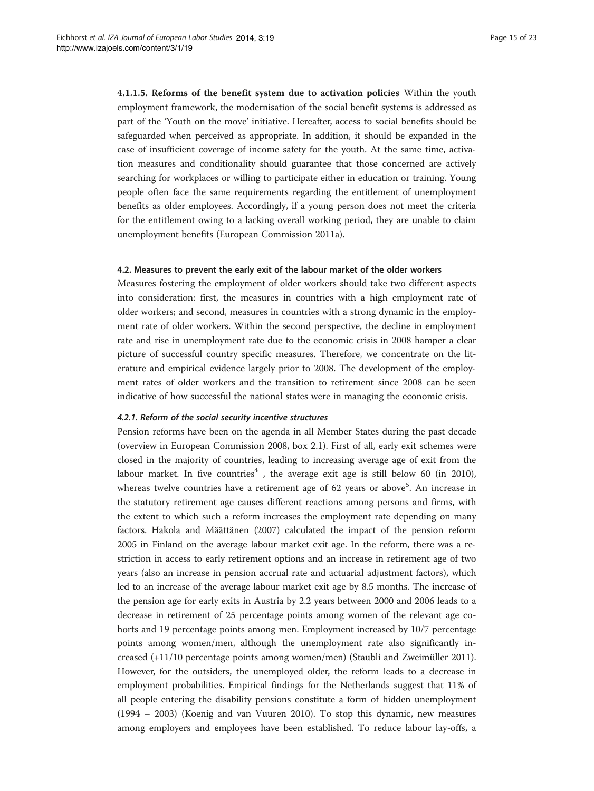4.1.1.5. Reforms of the benefit system due to activation policies Within the youth employment framework, the modernisation of the social benefit systems is addressed as part of the 'Youth on the move' initiative. Hereafter, access to social benefits should be safeguarded when perceived as appropriate. In addition, it should be expanded in the case of insufficient coverage of income safety for the youth. At the same time, activation measures and conditionality should guarantee that those concerned are actively searching for workplaces or willing to participate either in education or training. Young people often face the same requirements regarding the entitlement of unemployment benefits as older employees. Accordingly, if a young person does not meet the criteria for the entitlement owing to a lacking overall working period, they are unable to claim unemployment benefits (European Commission [2011a](#page-21-0)).

#### 4.2. Measures to prevent the early exit of the labour market of the older workers

Measures fostering the employment of older workers should take two different aspects into consideration: first, the measures in countries with a high employment rate of older workers; and second, measures in countries with a strong dynamic in the employment rate of older workers. Within the second perspective, the decline in employment rate and rise in unemployment rate due to the economic crisis in 2008 hamper a clear picture of successful country specific measures. Therefore, we concentrate on the literature and empirical evidence largely prior to 2008. The development of the employment rates of older workers and the transition to retirement since 2008 can be seen indicative of how successful the national states were in managing the economic crisis.

#### 4.2.1. Reform of the social security incentive structures

Pension reforms have been on the agenda in all Member States during the past decade (overview in European Commission [2008](#page-21-0), box 2.1). First of all, early exit schemes were closed in the majority of countries, leading to increasing average age of exit from the labour market. In five countries<sup>4</sup>, the average exit age is still below 60 (in 2010), whereas twelve countries have a retirement age of 62 years or above<sup>5</sup>. An increase in the statutory retirement age causes different reactions among persons and firms, with the extent to which such a reform increases the employment rate depending on many factors. Hakola and Määttänen ([2007\)](#page-21-0) calculated the impact of the pension reform 2005 in Finland on the average labour market exit age. In the reform, there was a restriction in access to early retirement options and an increase in retirement age of two years (also an increase in pension accrual rate and actuarial adjustment factors), which led to an increase of the average labour market exit age by 8.5 months. The increase of the pension age for early exits in Austria by 2.2 years between 2000 and 2006 leads to a decrease in retirement of 25 percentage points among women of the relevant age cohorts and 19 percentage points among men. Employment increased by 10/7 percentage points among women/men, although the unemployment rate also significantly increased (+11/10 percentage points among women/men) (Staubli and Zweimüller [2011](#page-22-0)). However, for the outsiders, the unemployed older, the reform leads to a decrease in employment probabilities. Empirical findings for the Netherlands suggest that 11% of all people entering the disability pensions constitute a form of hidden unemployment (1994 – 2003) (Koenig and van Vuuren [2010](#page-21-0)). To stop this dynamic, new measures among employers and employees have been established. To reduce labour lay-offs, a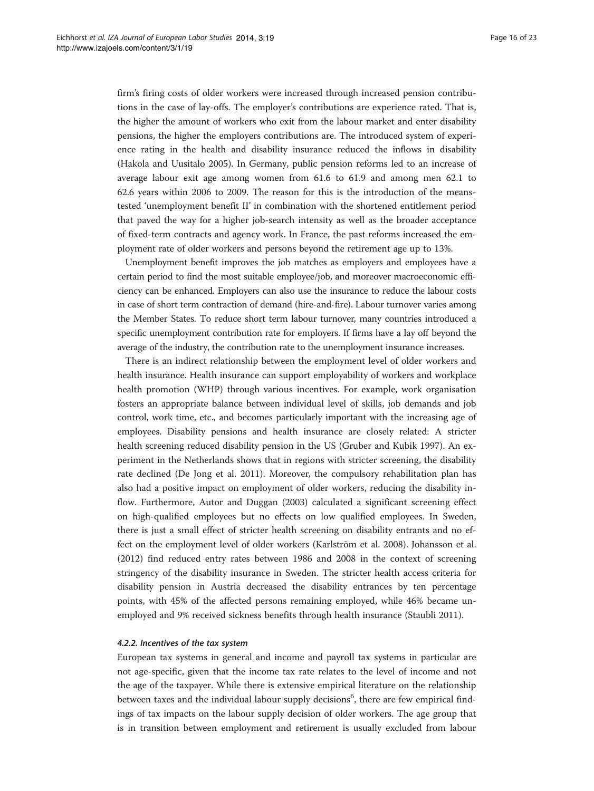firm's firing costs of older workers were increased through increased pension contributions in the case of lay-offs. The employer's contributions are experience rated. That is, the higher the amount of workers who exit from the labour market and enter disability pensions, the higher the employers contributions are. The introduced system of experience rating in the health and disability insurance reduced the inflows in disability (Hakola and Uusitalo [2005\)](#page-21-0). In Germany, public pension reforms led to an increase of average labour exit age among women from 61.6 to 61.9 and among men 62.1 to 62.6 years within 2006 to 2009. The reason for this is the introduction of the meanstested 'unemployment benefit II' in combination with the shortened entitlement period that paved the way for a higher job-search intensity as well as the broader acceptance of fixed-term contracts and agency work. In France, the past reforms increased the employment rate of older workers and persons beyond the retirement age up to 13%.

Unemployment benefit improves the job matches as employers and employees have a certain period to find the most suitable employee/job, and moreover macroeconomic efficiency can be enhanced. Employers can also use the insurance to reduce the labour costs in case of short term contraction of demand (hire-and-fire). Labour turnover varies among the Member States. To reduce short term labour turnover, many countries introduced a specific unemployment contribution rate for employers. If firms have a lay off beyond the average of the industry, the contribution rate to the unemployment insurance increases.

There is an indirect relationship between the employment level of older workers and health insurance. Health insurance can support employability of workers and workplace health promotion (WHP) through various incentives. For example, work organisation fosters an appropriate balance between individual level of skills, job demands and job control, work time, etc., and becomes particularly important with the increasing age of employees. Disability pensions and health insurance are closely related: A stricter health screening reduced disability pension in the US (Gruber and Kubik [1997\)](#page-21-0). An experiment in the Netherlands shows that in regions with stricter screening, the disability rate declined (De Jong et al. [2011\)](#page-20-0). Moreover, the compulsory rehabilitation plan has also had a positive impact on employment of older workers, reducing the disability inflow. Furthermore, Autor and Duggan [\(2003\)](#page-20-0) calculated a significant screening effect on high-qualified employees but no effects on low qualified employees. In Sweden, there is just a small effect of stricter health screening on disability entrants and no effect on the employment level of older workers (Karlström et al. [2008](#page-21-0)). Johansson et al. ([2012](#page-21-0)) find reduced entry rates between 1986 and 2008 in the context of screening stringency of the disability insurance in Sweden. The stricter health access criteria for disability pension in Austria decreased the disability entrances by ten percentage points, with 45% of the affected persons remaining employed, while 46% became unemployed and 9% received sickness benefits through health insurance (Staubli [2011\)](#page-22-0).

#### 4.2.2. Incentives of the tax system

European tax systems in general and income and payroll tax systems in particular are not age-specific, given that the income tax rate relates to the level of income and not the age of the taxpayer. While there is extensive empirical literature on the relationship between taxes and the individual labour supply decisions $^6$ , there are few empirical findings of tax impacts on the labour supply decision of older workers. The age group that is in transition between employment and retirement is usually excluded from labour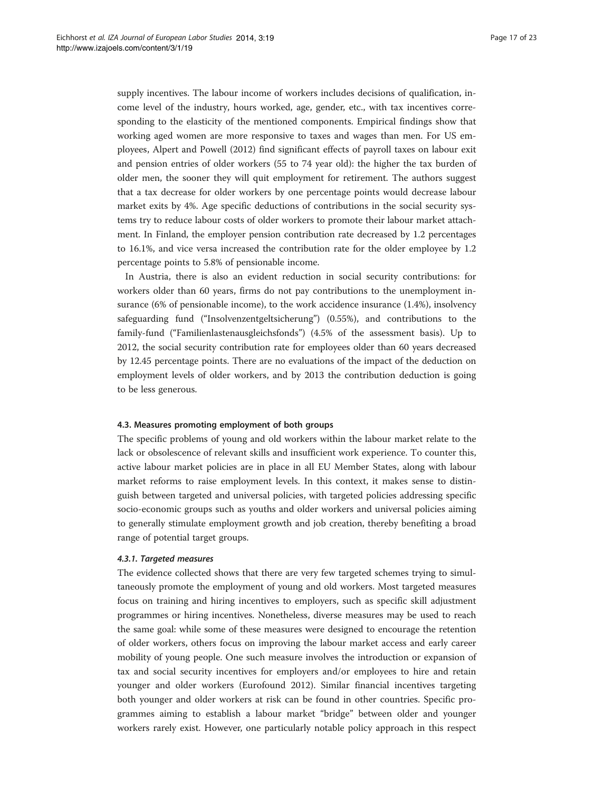supply incentives. The labour income of workers includes decisions of qualification, income level of the industry, hours worked, age, gender, etc., with tax incentives corresponding to the elasticity of the mentioned components. Empirical findings show that working aged women are more responsive to taxes and wages than men. For US employees, Alpert and Powell ([2012](#page-20-0)) find significant effects of payroll taxes on labour exit and pension entries of older workers (55 to 74 year old): the higher the tax burden of older men, the sooner they will quit employment for retirement. The authors suggest that a tax decrease for older workers by one percentage points would decrease labour market exits by 4%. Age specific deductions of contributions in the social security systems try to reduce labour costs of older workers to promote their labour market attachment. In Finland, the employer pension contribution rate decreased by 1.2 percentages to 16.1%, and vice versa increased the contribution rate for the older employee by 1.2 percentage points to 5.8% of pensionable income.

In Austria, there is also an evident reduction in social security contributions: for workers older than 60 years, firms do not pay contributions to the unemployment insurance (6% of pensionable income), to the work accidence insurance (1.4%), insolvency safeguarding fund ("Insolvenzentgeltsicherung") (0.55%), and contributions to the family-fund ("Familienlastenausgleichsfonds") (4.5% of the assessment basis). Up to 2012, the social security contribution rate for employees older than 60 years decreased by 12.45 percentage points. There are no evaluations of the impact of the deduction on employment levels of older workers, and by 2013 the contribution deduction is going to be less generous.

#### 4.3. Measures promoting employment of both groups

The specific problems of young and old workers within the labour market relate to the lack or obsolescence of relevant skills and insufficient work experience. To counter this, active labour market policies are in place in all EU Member States, along with labour market reforms to raise employment levels. In this context, it makes sense to distinguish between targeted and universal policies, with targeted policies addressing specific socio-economic groups such as youths and older workers and universal policies aiming to generally stimulate employment growth and job creation, thereby benefiting a broad range of potential target groups.

#### 4.3.1. Targeted measures

The evidence collected shows that there are very few targeted schemes trying to simultaneously promote the employment of young and old workers. Most targeted measures focus on training and hiring incentives to employers, such as specific skill adjustment programmes or hiring incentives. Nonetheless, diverse measures may be used to reach the same goal: while some of these measures were designed to encourage the retention of older workers, others focus on improving the labour market access and early career mobility of young people. One such measure involves the introduction or expansion of tax and social security incentives for employers and/or employees to hire and retain younger and older workers (Eurofound [2012](#page-21-0)). Similar financial incentives targeting both younger and older workers at risk can be found in other countries. Specific programmes aiming to establish a labour market "bridge" between older and younger workers rarely exist. However, one particularly notable policy approach in this respect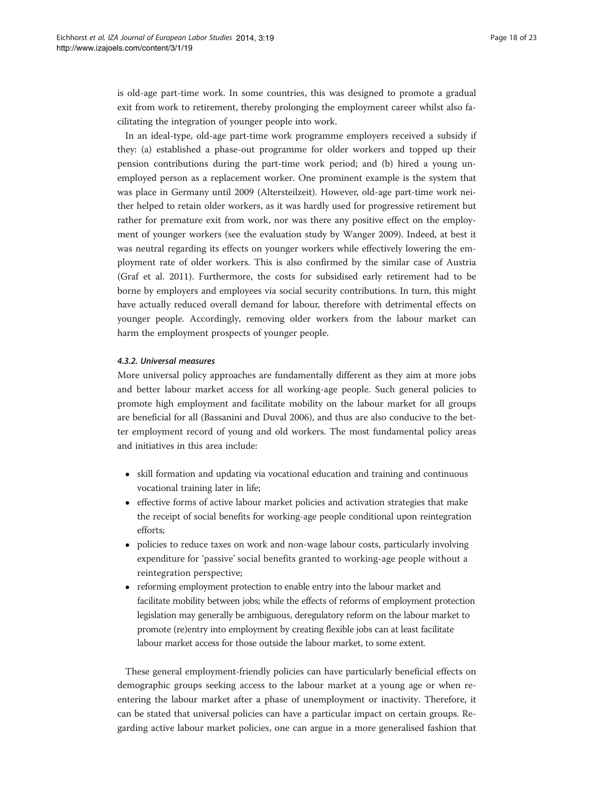is old-age part-time work. In some countries, this was designed to promote a gradual exit from work to retirement, thereby prolonging the employment career whilst also facilitating the integration of younger people into work.

In an ideal-type, old-age part-time work programme employers received a subsidy if they: (a) established a phase-out programme for older workers and topped up their pension contributions during the part-time work period; and (b) hired a young unemployed person as a replacement worker. One prominent example is the system that was place in Germany until 2009 (Altersteilzeit). However, old-age part-time work neither helped to retain older workers, as it was hardly used for progressive retirement but rather for premature exit from work, nor was there any positive effect on the employment of younger workers (see the evaluation study by Wanger [2009](#page-22-0)). Indeed, at best it was neutral regarding its effects on younger workers while effectively lowering the employment rate of older workers. This is also confirmed by the similar case of Austria (Graf et al. [2011](#page-21-0)). Furthermore, the costs for subsidised early retirement had to be borne by employers and employees via social security contributions. In turn, this might have actually reduced overall demand for labour, therefore with detrimental effects on younger people. Accordingly, removing older workers from the labour market can harm the employment prospects of younger people.

#### 4.3.2. Universal measures

More universal policy approaches are fundamentally different as they aim at more jobs and better labour market access for all working-age people. Such general policies to promote high employment and facilitate mobility on the labour market for all groups are beneficial for all (Bassanini and Duval [2006](#page-20-0)), and thus are also conducive to the better employment record of young and old workers. The most fundamental policy areas and initiatives in this area include:

- skill formation and updating via vocational education and training and continuous vocational training later in life;
- effective forms of active labour market policies and activation strategies that make the receipt of social benefits for working-age people conditional upon reintegration efforts;
- policies to reduce taxes on work and non-wage labour costs, particularly involving expenditure for 'passive' social benefits granted to working-age people without a reintegration perspective;
- reforming employment protection to enable entry into the labour market and facilitate mobility between jobs; while the effects of reforms of employment protection legislation may generally be ambiguous, deregulatory reform on the labour market to promote (re)entry into employment by creating flexible jobs can at least facilitate labour market access for those outside the labour market, to some extent.

These general employment-friendly policies can have particularly beneficial effects on demographic groups seeking access to the labour market at a young age or when reentering the labour market after a phase of unemployment or inactivity. Therefore, it can be stated that universal policies can have a particular impact on certain groups. Regarding active labour market policies, one can argue in a more generalised fashion that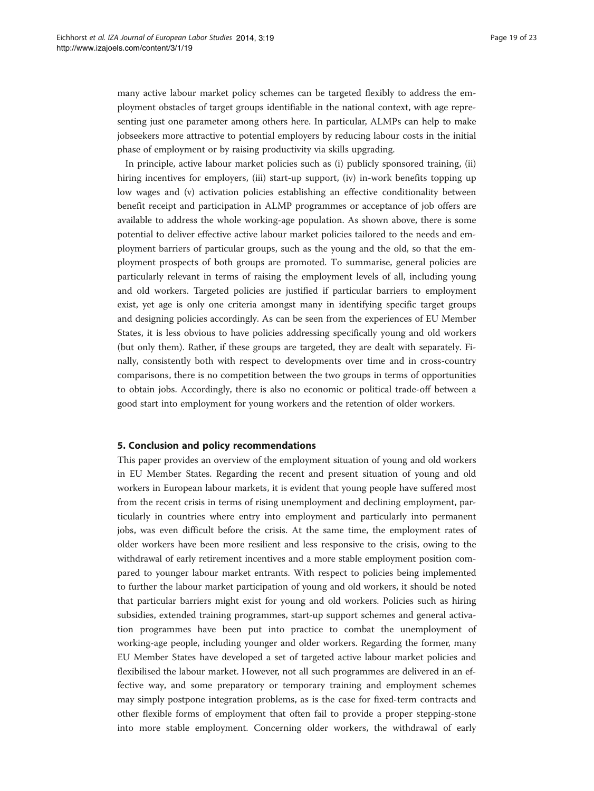many active labour market policy schemes can be targeted flexibly to address the employment obstacles of target groups identifiable in the national context, with age representing just one parameter among others here. In particular, ALMPs can help to make jobseekers more attractive to potential employers by reducing labour costs in the initial phase of employment or by raising productivity via skills upgrading.

In principle, active labour market policies such as (i) publicly sponsored training, (ii) hiring incentives for employers, (iii) start-up support, (iv) in-work benefits topping up low wages and (v) activation policies establishing an effective conditionality between benefit receipt and participation in ALMP programmes or acceptance of job offers are available to address the whole working-age population. As shown above, there is some potential to deliver effective active labour market policies tailored to the needs and employment barriers of particular groups, such as the young and the old, so that the employment prospects of both groups are promoted. To summarise, general policies are particularly relevant in terms of raising the employment levels of all, including young and old workers. Targeted policies are justified if particular barriers to employment exist, yet age is only one criteria amongst many in identifying specific target groups and designing policies accordingly. As can be seen from the experiences of EU Member States, it is less obvious to have policies addressing specifically young and old workers (but only them). Rather, if these groups are targeted, they are dealt with separately. Finally, consistently both with respect to developments over time and in cross-country comparisons, there is no competition between the two groups in terms of opportunities to obtain jobs. Accordingly, there is also no economic or political trade-off between a good start into employment for young workers and the retention of older workers.

#### 5. Conclusion and policy recommendations

This paper provides an overview of the employment situation of young and old workers in EU Member States. Regarding the recent and present situation of young and old workers in European labour markets, it is evident that young people have suffered most from the recent crisis in terms of rising unemployment and declining employment, particularly in countries where entry into employment and particularly into permanent jobs, was even difficult before the crisis. At the same time, the employment rates of older workers have been more resilient and less responsive to the crisis, owing to the withdrawal of early retirement incentives and a more stable employment position compared to younger labour market entrants. With respect to policies being implemented to further the labour market participation of young and old workers, it should be noted that particular barriers might exist for young and old workers. Policies such as hiring subsidies, extended training programmes, start-up support schemes and general activation programmes have been put into practice to combat the unemployment of working-age people, including younger and older workers. Regarding the former, many EU Member States have developed a set of targeted active labour market policies and flexibilised the labour market. However, not all such programmes are delivered in an effective way, and some preparatory or temporary training and employment schemes may simply postpone integration problems, as is the case for fixed-term contracts and other flexible forms of employment that often fail to provide a proper stepping-stone into more stable employment. Concerning older workers, the withdrawal of early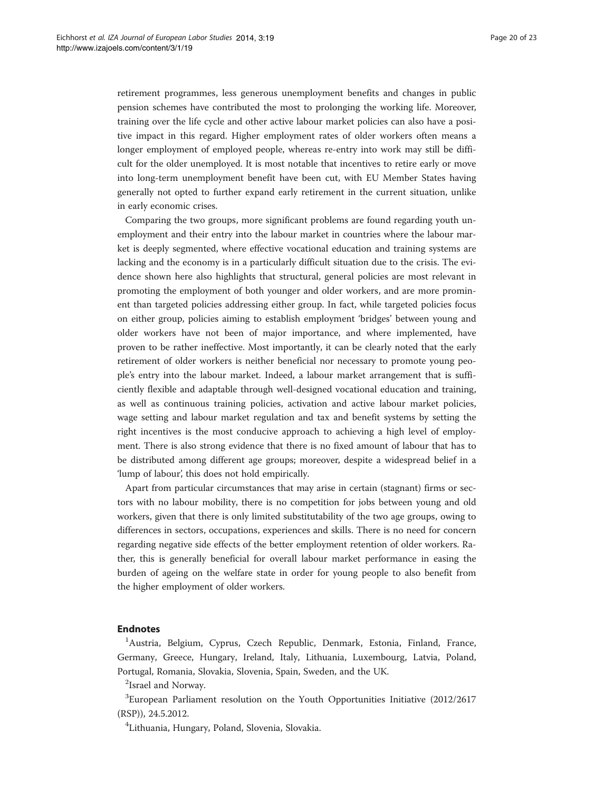retirement programmes, less generous unemployment benefits and changes in public pension schemes have contributed the most to prolonging the working life. Moreover, training over the life cycle and other active labour market policies can also have a positive impact in this regard. Higher employment rates of older workers often means a longer employment of employed people, whereas re-entry into work may still be difficult for the older unemployed. It is most notable that incentives to retire early or move into long-term unemployment benefit have been cut, with EU Member States having generally not opted to further expand early retirement in the current situation, unlike in early economic crises.

Comparing the two groups, more significant problems are found regarding youth unemployment and their entry into the labour market in countries where the labour market is deeply segmented, where effective vocational education and training systems are lacking and the economy is in a particularly difficult situation due to the crisis. The evidence shown here also highlights that structural, general policies are most relevant in promoting the employment of both younger and older workers, and are more prominent than targeted policies addressing either group. In fact, while targeted policies focus on either group, policies aiming to establish employment 'bridges' between young and older workers have not been of major importance, and where implemented, have proven to be rather ineffective. Most importantly, it can be clearly noted that the early retirement of older workers is neither beneficial nor necessary to promote young people's entry into the labour market. Indeed, a labour market arrangement that is sufficiently flexible and adaptable through well-designed vocational education and training, as well as continuous training policies, activation and active labour market policies, wage setting and labour market regulation and tax and benefit systems by setting the right incentives is the most conducive approach to achieving a high level of employment. There is also strong evidence that there is no fixed amount of labour that has to be distributed among different age groups; moreover, despite a widespread belief in a 'lump of labour', this does not hold empirically.

Apart from particular circumstances that may arise in certain (stagnant) firms or sectors with no labour mobility, there is no competition for jobs between young and old workers, given that there is only limited substitutability of the two age groups, owing to differences in sectors, occupations, experiences and skills. There is no need for concern regarding negative side effects of the better employment retention of older workers. Rather, this is generally beneficial for overall labour market performance in easing the burden of ageing on the welfare state in order for young people to also benefit from the higher employment of older workers.

#### Endnotes

<sup>1</sup>Austria, Belgium, Cyprus, Czech Republic, Denmark, Estonia, Finland, France, Germany, Greece, Hungary, Ireland, Italy, Lithuania, Luxembourg, Latvia, Poland, Portugal, Romania, Slovakia, Slovenia, Spain, Sweden, and the UK.

<sup>2</sup>Israel and Norway.

<sup>3</sup>European Parliament resolution on the Youth Opportunities Initiative (2012/2617 (RSP)), 24.5.2012.

4 Lithuania, Hungary, Poland, Slovenia, Slovakia.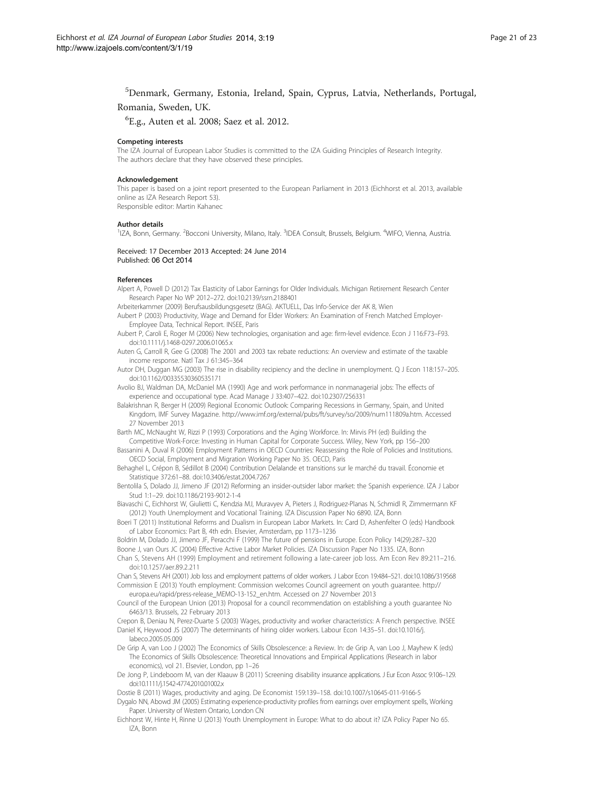<span id="page-20-0"></span>5 Denmark, Germany, Estonia, Ireland, Spain, Cyprus, Latvia, Netherlands, Portugal,

Romania, Sweden, UK.

6 E.g., Auten et al. 2008; Saez et al. [2012.](#page-21-0)

#### Competing interests

The IZA Journal of European Labor Studies is committed to the IZA Guiding Principles of Research Integrity. The authors declare that they have observed these principles.

#### Acknowledgement

This paper is based on a joint report presented to the European Parliament in 2013 (Eichhorst et al. 2013, available online as IZA Research Report 53). Responsible editor: Martin Kahanec

#### Author details

<sup>1</sup>IZA, Bonn, Germany. <sup>2</sup>Bocconi University, Milano, Italy. <sup>3</sup>IDEA Consult, Brussels, Belgium. <sup>4</sup>WIFO, Vienna, Austria

Received: 17 December 2013 Accepted: 24 June 2014 Published: 06 Oct 2014

#### References

Alpert A, Powell D (2012) Tax Elasticity of Labor Earnings for Older Individuals. Michigan Retirement Research Center Research Paper No WP 2012–272. doi:10.2139/ssrn.2188401

Arbeiterkammer (2009) Berufsausbildungsgesetz (BAG). AKTUELL, Das Info-Service der AK 8, Wien

Aubert P (2003) Productivity, Wage and Demand for Elder Workers: An Examination of French Matched Employer-Employee Data, Technical Report. INSEE, Paris

Aubert P, Caroli E, Roger M (2006) New technologies, organisation and age: firm-level evidence. Econ J 116:F73–F93. doi:10.1111/j.1468-0297.2006.01065.x

Auten G, Carroll R, Gee G (2008) The 2001 and 2003 tax rebate reductions: An overview and estimate of the taxable income response. Natl Tax J 61:345–364

Autor DH, Duggan MG (2003) The rise in disability recipiency and the decline in unemployment. Q J Econ 118:157–205. doi:10.1162/00335530360535171

Avolio BJ, Waldman DA, McDaniel MA (1990) Age and work performance in nonmanagerial jobs: The effects of experience and occupational type. Acad Manage J 33:407–422. doi:10.2307/256331

Balakrishnan R, Berger H (2009) Regional Economic Outlook: Comparing Recessions in Germany, Spain, and United Kingdom, IMF Survey Magazine.<http://www.imf.org/external/pubs/ft/survey/so/2009/num111809a.htm>. Accessed 27 November 2013

Barth MC, McNaught W, Rizzi P (1993) Corporations and the Aging Workforce. In: Mirvis PH (ed) Building the Competitive Work-Force: Investing in Human Capital for Corporate Success. Wiley, New York, pp 156–200

Bassanini A, Duval R (2006) Employment Patterns in OECD Countries: Reassessing the Role of Policies and Institutions. OECD Social, Employment and Migration Working Paper No 35. OECD, Paris

Behaghel L, Crépon B, Sédillot B (2004) Contribution Delalande et transitions sur le marché du travail. Économie et Statistique 372:61–88. doi:10.3406/estat.2004.7267

Bentolila S, Dolado JJ, Jimeno JF (2012) Reforming an insider-outsider labor market: the Spanish experience. IZA J Labor Stud 1:1–29. doi:10.1186/2193-9012-1-4

Biavaschi C, Eichhorst W, Giulietti C, Kendzia MJ, Muravyev A, Pieters J, Rodriguez-Planas N, Schmidl R, Zimmermann KF (2012) Youth Unemployment and Vocational Training. IZA Discussion Paper No 6890. IZA, Bonn

Boeri T (2011) Institutional Reforms and Dualism in European Labor Markets. In: Card D, Ashenfelter O (eds) Handbook of Labor Economics: Part B, 4th edn. Elsevier, Amsterdam, pp 1173–1236

Boldrin M, Dolado JJ, Jimeno JF, Peracchi F (1999) The future of pensions in Europe. Econ Policy 14(29):287–320

Boone J, van Ours JC (2004) Effective Active Labor Market Policies. IZA Discussion Paper No 1335. IZA, Bonn

Chan S, Stevens AH (1999) Employment and retirement following a late-career job loss. Am Econ Rev 89:211–216. doi:10.1257/aer.89.2.211

Chan S, Stevens AH (2001) Job loss and employment patterns of older workers. J Labor Econ 19:484–521. doi:10.1086/319568 Commission E (2013) Youth employment: Commission welcomes Council agreement on youth guarantee. [http://](http://europa.eu/rapid/press-release_MEMO-13-152_en.htm) [europa.eu/rapid/press-release\\_MEMO-13-152\\_en.htm.](http://europa.eu/rapid/press-release_MEMO-13-152_en.htm) Accessed on 27 November 2013

Council of the European Union (2013) Proposal for a council recommendation on establishing a youth guarantee No 6463/13. Brussels, 22 February 2013

Crepon B, Deniau N, Perez-Duarte S (2003) Wages, productivity and worker characteristics: A French perspective. INSEE Daniel K, Heywood JS (2007) The determinants of hiring older workers. Labour Econ 14:35–51. doi:10.1016/j. labeco.2005.05.009

De Grip A, van Loo J (2002) The Economics of Skills Obsolescence: a Review. In: de Grip A, van Loo J, Mayhew K (eds) The Economics of Skills Obsolescence: Theoretical Innovations and Empirical Applications (Research in labor economics), vol 21. Elsevier, London, pp 1–26

De Jong P, Lindeboom M, van der Klaauw B (2011) Screening disability insurance applications. J Eur Econ Assoc 9:106–129. doi:10.1111/j.1542-4774.2010.01002.x

Dostie B (2011) Wages, productivity and aging. De Economist 159:139–158. doi:10.1007/s10645-011-9166-5

Dygalo NN, Abowd JM (2005) Estimating experience-productivity profiles from earnings over employment spells, Working Paper. University of Western Ontario, London CN

Eichhorst W, Hinte H, Rinne U (2013) Youth Unemployment in Europe: What to do about it? IZA Policy Paper No 65. IZA, Bonn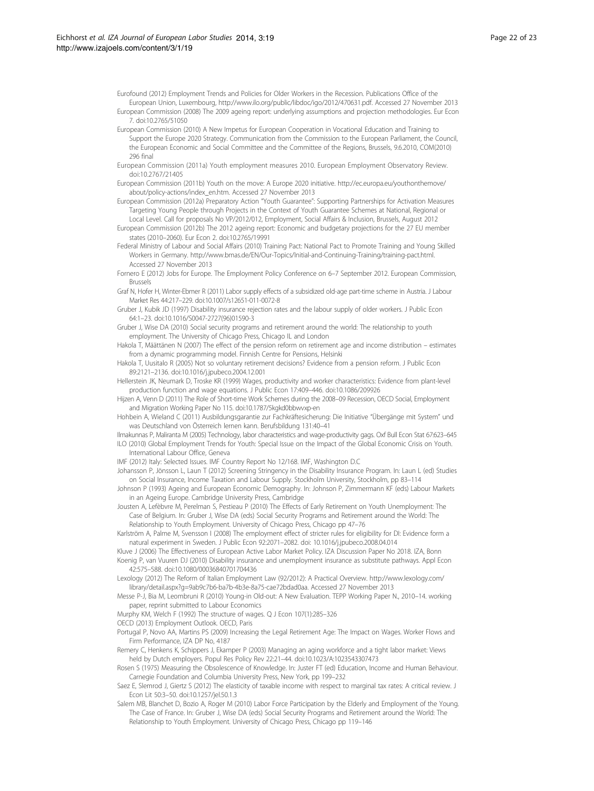<span id="page-21-0"></span>Eurofound (2012) Employment Trends and Policies for Older Workers in the Recession. Publications Office of the European Union, Luxembourg, [http://www.ilo.org/public/libdoc/igo/2012/470631.pdf.](http://www.ilo.org/public/libdoc/igo/2012/470631.pdf) Accessed 27 November 2013

- European Commission (2008) The 2009 ageing report: underlying assumptions and projection methodologies. Eur Econ 7. doi:10.2765/51050
- European Commission (2010) A New Impetus for European Cooperation in Vocational Education and Training to Support the Europe 2020 Strategy. Communication from the Commission to the European Parliament, the Council, the European Economic and Social Committee and the Committee of the Regions, Brussels, 9.6.2010, COM(2010) 296 final
- European Commission (2011a) Youth employment measures 2010. European Employment Observatory Review. doi:10.2767/21405
- European Commission (2011b) Youth on the move: A Europe 2020 initiative. [http://ec.europa.eu/youthonthemove/](http://ec.europa.eu/youthonthemove/about/policy-actions/index_en.htm) [about/policy-actions/index\\_en.htm](http://ec.europa.eu/youthonthemove/about/policy-actions/index_en.htm). Accessed 27 November 2013
- European Commission (2012a) Preparatory Action "Youth Guarantee": Supporting Partnerships for Activation Measures Targeting Young People through Projects in the Context of Youth Guarantee Schemes at National, Regional or Local Level. Call for proposals No VP/2012/012, Employment, Social Affairs & Inclusion, Brussels, August 2012
- European Commission (2012b) The 2012 ageing report: Economic and budgetary projections for the 27 EU member states (2010–2060). Eur Econ 2. doi:10.2765/19991

Federal Ministry of Labour and Social Affairs (2010) Training Pact: National Pact to Promote Training and Young Skilled Workers in Germany. [http://www.bmas.de/EN/Our-Topics/Initial-and-Continuing-Training/training-pact.html.](http://www.bmas.de/EN/Our-Topics/Initial-and-Continuing-Training/training-pact.html) Accessed 27 November 2013

- Fornero E (2012) Jobs for Europe. The Employment Policy Conference on 6–7 September 2012. European Commission, Brussels
- Graf N, Hofer H, Winter-Ebmer R (2011) Labor supply effects of a subsidized old-age part-time scheme in Austria. J Labour Market Res 44:217–229. doi:10.1007/s12651-011-0072-8

Gruber J, Kubik JD (1997) Disability insurance rejection rates and the labour supply of older workers. J Public Econ 64:1–23. doi:10.1016/S0047-2727(96)01590-3

Gruber J, Wise DA (2010) Social security programs and retirement around the world: The relationship to youth employment. The University of Chicago Press, Chicago IL and London

Hakola T, Määttänen N (2007) The effect of the pension reform on retirement age and income distribution – estimates from a dynamic programming model. Finnish Centre for Pensions, Helsinki

- Hakola T, Uusitalo R (2005) Not so voluntary retirement decisions? Evidence from a pension reform. J Public Econ 89:2121–2136. doi:10.1016/j.jpubeco.2004.12.001
- Hellerstein JK, Neumark D, Troske KR (1999) Wages, productivity and worker characteristics: Evidence from plant-level production function and wage equations. J Public Econ 17:409–446. doi:10.1086/209926

Hijzen A, Venn D (2011) The Role of Short-time Work Schemes during the 2008–09 Recession, OECD Social, Employment and Migration Working Paper No 115. doi:10.1787/5kgkd0bbwvxp-en

Hohbein A, Wieland C (2011) Ausbildungsgarantie zur Fachkräftesicherung: Die Initiative "Übergänge mit System" und was Deutschland von Österreich lernen kann. Berufsbildung 131:40–41

Ilmakunnas P, Maliranta M (2005) Technology, labor characteristics and wage-productivity gags. Oxf Bull Econ Stat 67:623–645 ILO (2010) Global Employment Trends for Youth: Special Issue on the Impact of the Global Economic Crisis on Youth. International Labour Office, Geneva

IMF (2012) Italy: Selected Issues. IMF Country Report No 12/168. IMF, Washington D.C

Johansson P, Jönsson L, Laun T (2012) Screening Stringency in the Disability Insurance Program. In: Laun L (ed) Studies on Social Insurance, Income Taxation and Labour Supply. Stockholm University, Stockholm, pp 83–114

Johnson P (1993) Ageing and European Economic Demography. In: Johnson P, Zimmermann KF (eds) Labour Markets in an Ageing Europe. Cambridge University Press, Cambridge

Jousten A, Lefèbvre M, Perelman S, Pestieau P (2010) The Effects of Early Retirement on Youth Unemployment: The Case of Belgium. In: Gruber J, Wise DA (eds) Social Security Programs and Retirement around the World: The Relationship to Youth Employment. University of Chicago Press, Chicago pp 47–76

Karlström A, Palme M, Svensson I (2008) The employment effect of stricter rules for eligibility for DI: Evidence form a natural experiment in Sweden. J Public Econ 92:2071–2082. doi: 10.1016/j.jpubeco.2008.04.014

Kluve J (2006) The Effectiveness of European Active Labor Market Policy. IZA Discussion Paper No 2018. IZA, Bonn Koenig P, van Vuuren DJ (2010) Disability insurance and unemployment insurance as substitute pathways. Appl Econ 42:575–588. doi:10.1080/00036840701704436

Lexology (2012) The Reform of Italian Employment Law (92/2012): A Practical Overview. [http://www.lexology.com/](http://www.lexology.com/library/detail.aspx?g=9ab9c7b6-ba7b-4b3e-8a75-cae72bdad0aa) [library/detail.aspx?g=9ab9c7b6-ba7b-4b3e-8a75-cae72bdad0aa.](http://www.lexology.com/library/detail.aspx?g=9ab9c7b6-ba7b-4b3e-8a75-cae72bdad0aa) Accessed 27 November 2013

Messe P-J, Bia M, Leombruni R (2010) Young-in Old-out: A New Evaluation. TEPP Working Paper N., 2010–14. working paper, reprint submitted to Labour Economics

Murphy KM, Welch F (1992) The structure of wages. Q J Econ 107(1):285–326

OECD (2013) Employment Outlook. OECD, Paris

- Portugal P, Novo AA, Martins PS (2009) Increasing the Legal Retirement Age: The Impact on Wages. Worker Flows and Firm Performance, IZA DP No, 4187
- Remery C, Henkens K, Schippers J, Ekamper P (2003) Managing an aging workforce and a tight labor market: Views held by Dutch employers. Popul Res Policy Rev 22:21–44. doi:10.1023/A:1023543307473
- Rosen S (1975) Measuring the Obsolescence of Knowledge. In: Juster FT (ed) Education, Income and Human Behaviour. Carnegie Foundation and Columbia University Press, New York, pp 199–232
- Saez E, Slemrod J, Giertz S (2012) The elasticity of taxable income with respect to marginal tax rates: A critical review. J Econ Lit 50:3–50. doi:10.1257/jel.50.1.3
- Salem MB, Blanchet D, Bozio A, Roger M (2010) Labor Force Participation by the Elderly and Employment of the Young. The Case of France. In: Gruber J, Wise DA (eds) Social Security Programs and Retirement around the World: The Relationship to Youth Employment. University of Chicago Press, Chicago pp 119–146